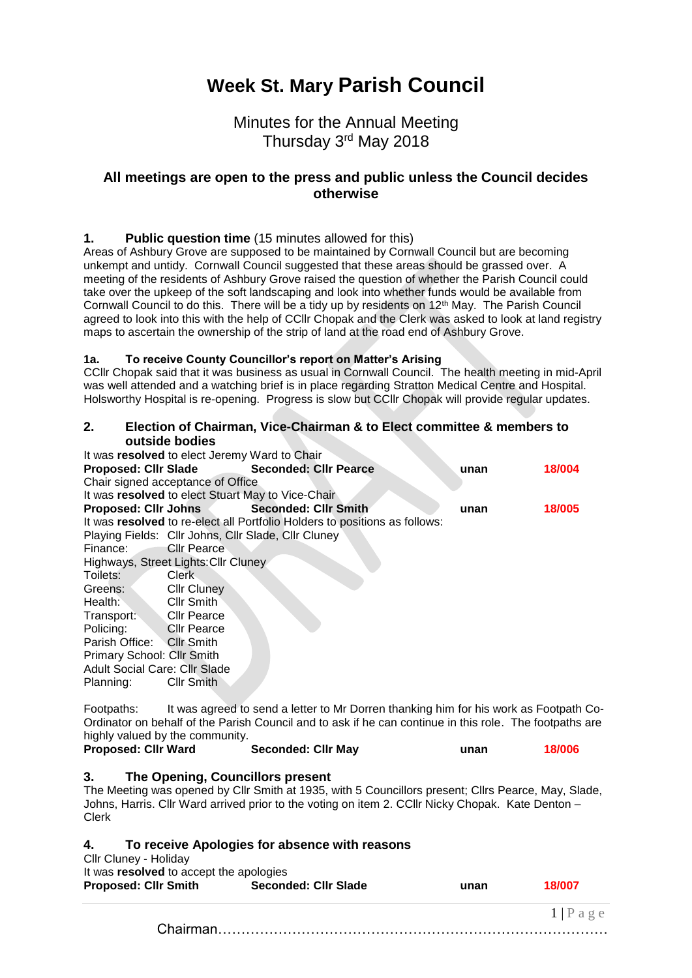# **Week St. Mary Parish Council**

## Minutes for the Annual Meeting Thursday 3<sup>rd</sup> May 2018

## **All meetings are open to the press and public unless the Council decides otherwise**

## **1. Public question time** (15 minutes allowed for this)

Areas of Ashbury Grove are supposed to be maintained by Cornwall Council but are becoming unkempt and untidy. Cornwall Council suggested that these areas should be grassed over. A meeting of the residents of Ashbury Grove raised the question of whether the Parish Council could take over the upkeep of the soft landscaping and look into whether funds would be available from Cornwall Council to do this. There will be a tidy up by residents on 12th May. The Parish Council agreed to look into this with the help of CCllr Chopak and the Clerk was asked to look at land registry maps to ascertain the ownership of the strip of land at the road end of Ashbury Grove.

#### **1a. To receive County Councillor's report on Matter's Arising**

CCllr Chopak said that it was business as usual in Cornwall Council. The health meeting in mid-April was well attended and a watching brief is in place regarding Stratton Medical Centre and Hospital. Holsworthy Hospital is re-opening. Progress is slow but CCllr Chopak will provide regular updates.

## **2. Election of Chairman, Vice-Chairman & to Elect committee & members to outside bodies**

|                    |                                                                                                                                                              | unan                                                                                                                                                                                                                                                                                                                                                                                              | 18/004 |
|--------------------|--------------------------------------------------------------------------------------------------------------------------------------------------------------|---------------------------------------------------------------------------------------------------------------------------------------------------------------------------------------------------------------------------------------------------------------------------------------------------------------------------------------------------------------------------------------------------|--------|
|                    |                                                                                                                                                              |                                                                                                                                                                                                                                                                                                                                                                                                   |        |
|                    |                                                                                                                                                              |                                                                                                                                                                                                                                                                                                                                                                                                   |        |
|                    |                                                                                                                                                              | unan                                                                                                                                                                                                                                                                                                                                                                                              | 18/005 |
|                    |                                                                                                                                                              |                                                                                                                                                                                                                                                                                                                                                                                                   |        |
|                    |                                                                                                                                                              |                                                                                                                                                                                                                                                                                                                                                                                                   |        |
| <b>Cllr Pearce</b> |                                                                                                                                                              |                                                                                                                                                                                                                                                                                                                                                                                                   |        |
|                    |                                                                                                                                                              |                                                                                                                                                                                                                                                                                                                                                                                                   |        |
| Clerk              |                                                                                                                                                              |                                                                                                                                                                                                                                                                                                                                                                                                   |        |
| <b>Cllr Cluney</b> |                                                                                                                                                              |                                                                                                                                                                                                                                                                                                                                                                                                   |        |
| Cllr Smith         |                                                                                                                                                              |                                                                                                                                                                                                                                                                                                                                                                                                   |        |
|                    |                                                                                                                                                              |                                                                                                                                                                                                                                                                                                                                                                                                   |        |
|                    |                                                                                                                                                              |                                                                                                                                                                                                                                                                                                                                                                                                   |        |
|                    |                                                                                                                                                              |                                                                                                                                                                                                                                                                                                                                                                                                   |        |
|                    |                                                                                                                                                              |                                                                                                                                                                                                                                                                                                                                                                                                   |        |
|                    |                                                                                                                                                              |                                                                                                                                                                                                                                                                                                                                                                                                   |        |
| <b>Cllr Smith</b>  |                                                                                                                                                              |                                                                                                                                                                                                                                                                                                                                                                                                   |        |
|                    | <b>Proposed: CIIr Johns</b><br>Cllr Pearce<br>Cllr Pearce<br>Parish Office: Cllr Smith<br>Primary School: Cllr Smith<br><b>Adult Social Care: Cllr Slade</b> | It was resolved to elect Jeremy Ward to Chair<br>Proposed: Clir Slade Seconded: Clir Pearce<br>Chair signed acceptance of Office<br>It was resolved to elect Stuart May to Vice-Chair<br><b>Seconded: Cllr Smith</b><br>It was resolved to re-elect all Portfolio Holders to positions as follows:<br>Playing Fields: Cllr Johns, Cllr Slade, Cllr Cluney<br>Highways, Street Lights: Cllr Cluney |        |

Footpaths: It was agreed to send a letter to Mr Dorren thanking him for his work as Footpath Co-Ordinator on behalf of the Parish Council and to ask if he can continue in this role. The footpaths are highly valued by the community.<br> **Proposed: CIIr Ward** Seconded: CIIr May

**Proposed: Cllr Ward Seconded: Cllr May unan 18/006**

## **3. The Opening, Councillors present**

The Meeting was opened by Cllr Smith at 1935, with 5 Councillors present; Cllrs Pearce, May, Slade, Johns, Harris. Cllr Ward arrived prior to the voting on item 2. CCllr Nicky Chopak. Kate Denton – Clerk

## **4. To receive Apologies for absence with reasons**

| Cllr Cluney - Holiday<br>It was resolved to accept the apologies |                             |      |            |
|------------------------------------------------------------------|-----------------------------|------|------------|
| <b>Proposed: Cllr Smith</b>                                      | <b>Seconded: Cllr Slade</b> | unan | 18/007     |
|                                                                  |                             |      | $1$   Page |
|                                                                  |                             |      |            |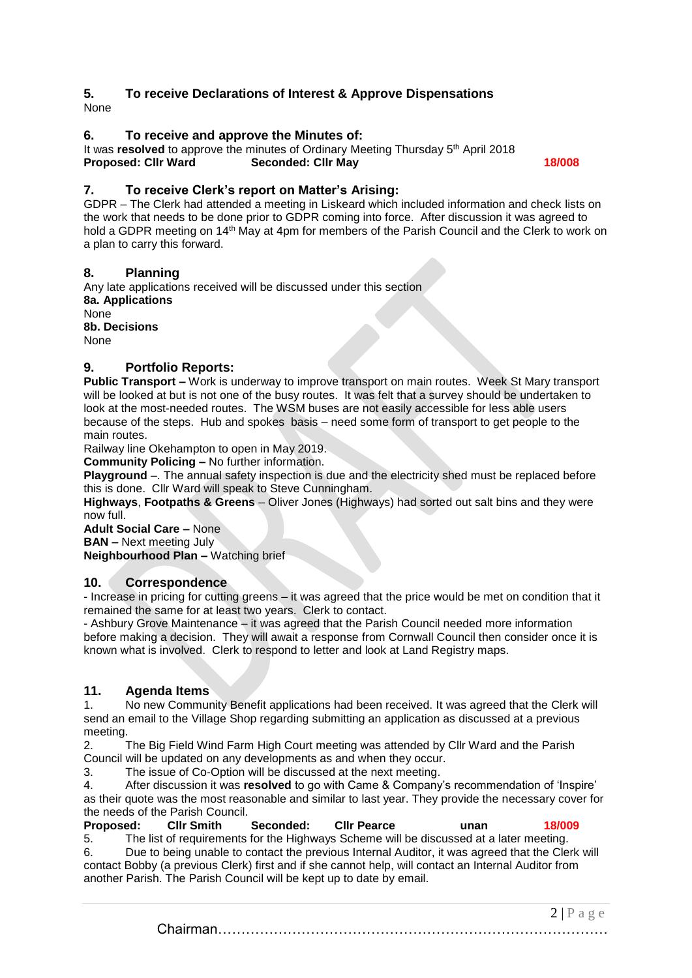## **5. To receive Declarations of Interest & Approve Dispensations**

None

## **6. To receive and approve the Minutes of:**

It was resolved to approve the minutes of Ordinary Meeting Thursday 5<sup>th</sup> April 2018 **Proposed: Cllr Ward Seconded: Cllr May 18/008**

## **7. To receive Clerk's report on Matter's Arising:**

GDPR – The Clerk had attended a meeting in Liskeard which included information and check lists on the work that needs to be done prior to GDPR coming into force. After discussion it was agreed to hold a GDPR meeting on 14<sup>th</sup> May at 4pm for members of the Parish Council and the Clerk to work on a plan to carry this forward.

## **8. Planning**

Any late applications received will be discussed under this section **8a. Applications** None **8b. Decisions** None

## **9. Portfolio Reports:**

**Public Transport –** Work is underway to improve transport on main routes. Week St Mary transport will be looked at but is not one of the busy routes. It was felt that a survey should be undertaken to look at the most-needed routes. The WSM buses are not easily accessible for less able users because of the steps. Hub and spokes basis – need some form of transport to get people to the main routes.

Railway line Okehampton to open in May 2019.

**Community Policing –** No further information.

**Playground** –. The annual safety inspection is due and the electricity shed must be replaced before this is done. Cllr Ward will speak to Steve Cunningham.

**Highways**, **Footpaths & Greens** – Oliver Jones (Highways) had sorted out salt bins and they were now full.

**Adult Social Care –** None **BAN –** Next meeting July

**Neighbourhood Plan –** Watching brief

## **10. Correspondence**

- Increase in pricing for cutting greens – it was agreed that the price would be met on condition that it remained the same for at least two years. Clerk to contact.

- Ashbury Grove Maintenance – it was agreed that the Parish Council needed more information before making a decision. They will await a response from Cornwall Council then consider once it is known what is involved. Clerk to respond to letter and look at Land Registry maps.

## **11. Agenda Items**

1. No new Community Benefit applications had been received. It was agreed that the Clerk will send an email to the Village Shop regarding submitting an application as discussed at a previous meeting.

2. The Big Field Wind Farm High Court meeting was attended by Cllr Ward and the Parish Council will be updated on any developments as and when they occur.

3. The issue of Co-Option will be discussed at the next meeting.

4. After discussion it was **resolved** to go with Came & Company's recommendation of 'Inspire' as their quote was the most reasonable and similar to last year. They provide the necessary cover for the needs of the Parish Council.

**Proposed: Cllr Smith Seconded: Cllr Pearce unan 18/009**

5. The list of requirements for the Highways Scheme will be discussed at a later meeting. 6. Due to being unable to contact the previous Internal Auditor, it was agreed that the Clerk will contact Bobby (a previous Clerk) first and if she cannot help, will contact an Internal Auditor from another Parish. The Parish Council will be kept up to date by email.

> $2 | P a \ge e$ Chairman…………………………………………………………………………